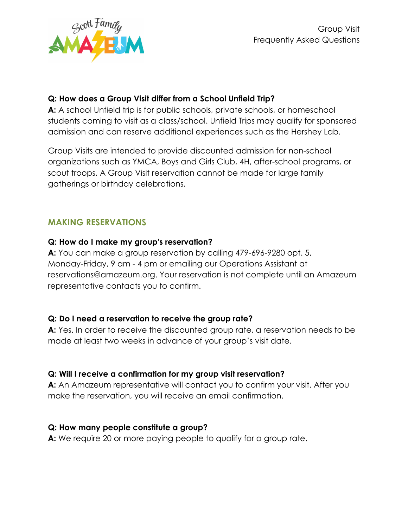

## **Q: How does a Group Visit differ from a School Unfield Trip?**

**A:** A school Unfield trip is for public schools, private schools, or homeschool students coming to visit as a class/school. Unfield Trips may qualify for sponsored admission and can reserve additional experiences such as the Hershey Lab.

Group Visits are intended to provide discounted admission for non-school organizations such as YMCA, Boys and Girls Club, 4H, after-school programs, or scout troops. A Group Visit reservation cannot be made for large family gatherings or birthday celebrations.

# **MAKING RESERVATIONS**

## **Q: How do I make my group's reservation?**

**A:** You can make a group reservation by calling 479-696-9280 opt. 5, Monday-Friday, 9 am - 4 pm or emailing our Operations Assistant at reservations@amazeum.org. Your reservation is not complete until an Amazeum representative contacts you to confirm.

## **Q: Do I need a reservation to receive the group rate?**

**A:** Yes. In order to receive the discounted group rate, a reservation needs to be made at least two weeks in advance of your group's visit date.

## **Q: Will I receive a confirmation for my group visit reservation?**

**A:** An Amazeum representative will contact you to confirm your visit. After you make the reservation, you will receive an email confirmation.

## **Q: How many people constitute a group?**

**A:** We require 20 or more paying people to qualify for a group rate.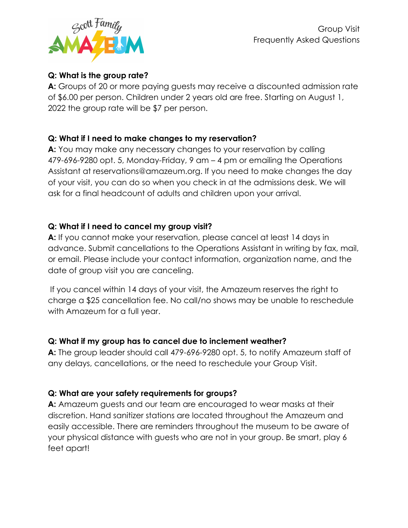

## **Q: What is the group rate?**

**A:** Groups of 20 or more paying guests may receive a discounted admission rate of \$6.00 per person. Children under 2 years old are free. Starting on August 1, 2022 the group rate will be \$7 per person.

## **Q: What if I need to make changes to my reservation?**

**A:** You may make any necessary changes to your reservation by calling 479-696-9280 opt. 5, Monday-Friday, 9 am – 4 pm or emailing the Operations Assistant at reservations@amazeum.org. If you need to make changes the day of your visit, you can do so when you check in at the admissions desk. We will ask for a final headcount of adults and children upon your arrival.

## **Q: What if I need to cancel my group visit?**

**A:** If you cannot make your reservation, please cancel at least 14 days in advance. Submit cancellations to the Operations Assistant in writing by fax, mail, or email. Please include your contact information, organization name, and the date of group visit you are canceling.

If you cancel within 14 days of your visit, the Amazeum reserves the right to charge a \$25 cancellation fee. No call/no shows may be unable to reschedule with Amazeum for a full year.

## **Q: What if my group has to cancel due to inclement weather?**

**A:** The group leader should call 479-696-9280 opt. 5, to notify Amazeum staff of any delays, cancellations, or the need to reschedule your Group Visit.

## **Q: What are your safety requirements for groups?**

**A:** Amazeum guests and our team are encouraged to wear masks at their discretion. Hand sanitizer stations are located throughout the Amazeum and easily accessible. There are reminders throughout the museum to be aware of your physical distance with guests who are not in your group. Be smart, play 6 feet apart!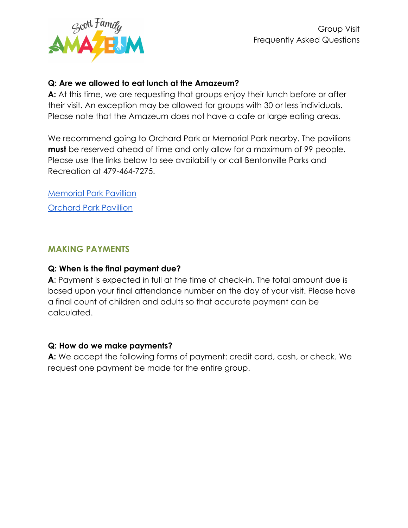

## **Q: Are we allowed to eat lunch at the Amazeum?**

**A:** At this time, we are requesting that groups enjoy their lunch before or after their visit. An exception may be allowed for groups with 30 or less individuals. Please note that the Amazeum does not have a cafe or large eating areas.

We recommend going to Orchard Park or Memorial Park nearby. The pavilions **must** be reserved ahead of time and only allow for a maximum of 99 people. Please use the links below to see availability or call Bentonville Parks and Recreation at 479-464-7275.

[Memorial Park Pavillion](https://anc.apm.activecommunities.com/playbentonville/reservation/landing/search/detail/126) [Orchard Park Pavillion](https://anc.apm.activecommunities.com/playbentonville/reservation/landing/search/detail/128)

#### **MAKING PAYMENTS**

#### **Q: When is the final payment due?**

**A**: Payment is expected in full at the time of check-in. The total amount due is based upon your final attendance number on the day of your visit. Please have a final count of children and adults so that accurate payment can be calculated.

#### **Q: How do we make payments?**

**A:** We accept the following forms of payment: credit card, cash, or check. We request one payment be made for the entire group.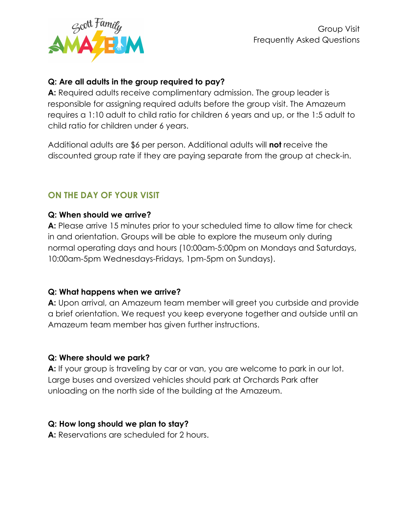

## **Q: Are all adults in the group required to pay?**

**A:** Required adults receive complimentary admission. The group leader is responsible for assigning required adults before the group visit. The Amazeum requires a 1:10 adult to child ratio for children 6 years and up, or the 1:5 adult to child ratio for children under 6 years.

Additional adults are \$6 per person. Additional adults will **not** receive the discounted group rate if they are paying separate from the group at check-in.

# **ON THE DAY OF YOUR VISIT**

#### **Q: When should we arrive?**

**A:** Please arrive 15 minutes prior to your scheduled time to allow time for check in and orientation. Groups will be able to explore the museum only during normal operating days and hours (10:00am-5:00pm on Mondays and Saturdays, 10:00am-5pm Wednesdays-Fridays, 1pm-5pm on Sundays).

## **Q: What happens when we arrive?**

**A:** Upon arrival, an Amazeum team member will greet you curbside and provide a brief orientation. We request you keep everyone together and outside until an Amazeum team member has given further instructions.

## **Q: Where should we park?**

**A:** If your group is traveling by car or van, you are welcome to park in our lot. Large buses and oversized vehicles should park at Orchards Park after unloading on the north side of the building at the Amazeum.

## **Q: How long should we plan to stay?**

**A:** Reservations are scheduled for 2 hours.